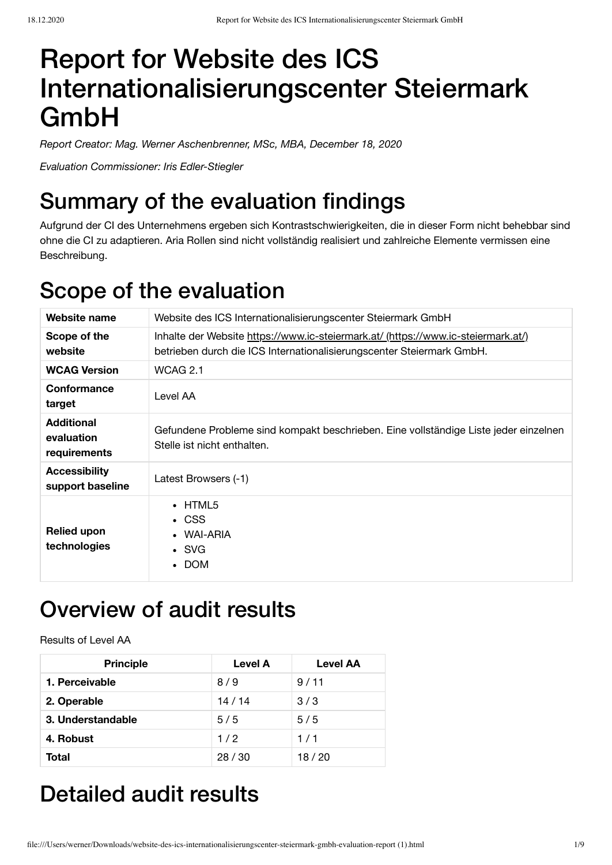# Report for Website des ICS Internationalisierungscenter Steiermark GmbH

*Report Creator: Mag. Werner Aschenbrenner, MSc, MBA, December 18, 2020*

*Evaluation Commissioner: Iris Edler-Stiegler*

# Summary of the evaluation findings

Aufgrund der CI des Unternehmens ergeben sich Kontrastschwierigkeiten, die in dieser Form nicht behebbar sind ohne die CI zu adaptieren. Aria Rollen sind nicht vollständig realisiert und zahlreiche Elemente vermissen eine Beschreibung.

## Scope of the evaluation

| Website name                                    | Website des ICS Internationalisierungscenter Steiermark GmbH                                                                                               |  |  |
|-------------------------------------------------|------------------------------------------------------------------------------------------------------------------------------------------------------------|--|--|
| Scope of the<br>website                         | Inhalte der Website https://www.ic-steiermark.at/ (https://www.ic-steiermark.at/)<br>betrieben durch die ICS Internationalisierungscenter Steiermark GmbH. |  |  |
| <b>WCAG Version</b>                             | <b>WCAG 2.1</b>                                                                                                                                            |  |  |
| Conformance<br>target                           | Level AA                                                                                                                                                   |  |  |
| <b>Additional</b><br>evaluation<br>requirements | Gefundene Probleme sind kompakt beschrieben. Eine vollständige Liste jeder einzelnen<br>Stelle ist nicht enthalten.                                        |  |  |
| <b>Accessibility</b><br>support baseline        | Latest Browsers (-1)                                                                                                                                       |  |  |
| <b>Relied upon</b><br>technologies              | $\cdot$ HTML5<br>$\cdot$ CSS<br>WAI-ARIA<br>$\cdot$ SVG<br>• DOM                                                                                           |  |  |

# Overview of audit results

Results of Level AA

| <b>Principle</b>  | <b>Level A</b> | <b>Level AA</b> |
|-------------------|----------------|-----------------|
| 1. Perceivable    | 8/9            | 9/11            |
| 2. Operable       | 14/14          | 3/3             |
| 3. Understandable | 5/5            | 5/5             |
| 4. Robust         | 1/2            | 1/1             |
| Total             | 28/30          | 18/20           |

# Detailed audit results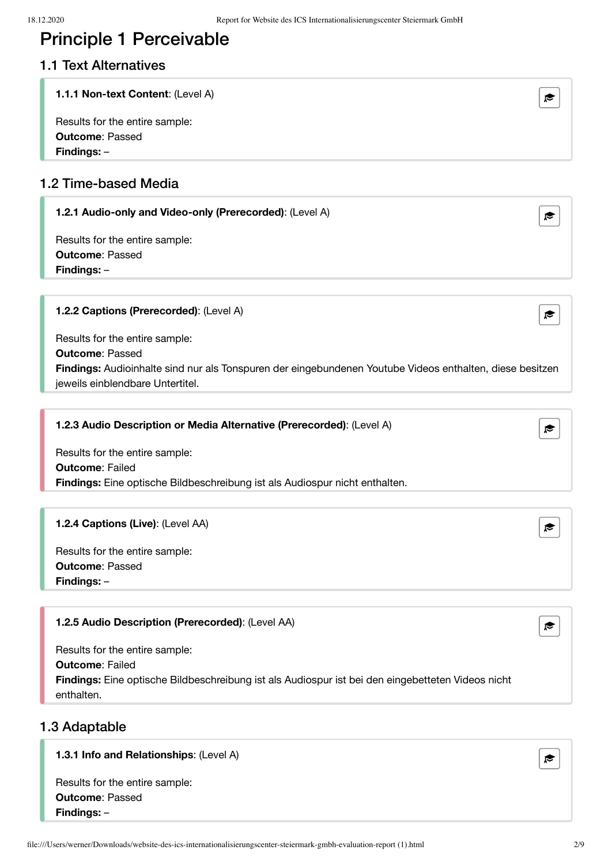### Principle 1 Perceivable

#### 1.1 Text Alternatives

#### **1.1.1 Non-text Content**: (Level A)

Results for the entire sample: **Outcome**: Passed **Findings:** –

#### 1.2 Time-based Media

#### **1.2.1 Audio-only and Video-only (Prerecorded)**: (Level A)

Results for the entire sample: **Outcome**: Passed **Findings:** –

#### **1.2.2 Captions (Prerecorded)**: (Level A)

Results for the entire sample: **Outcome**: Passed **Findings:** Audioinhalte sind nur als Tonspuren der eingebundenen Youtube Videos enthalten, diese besitzen jeweils einblendbare Untertitel.

#### **1.2.3 Audio Description or Media Alternative (Prerecorded)**: (Level A)

Results for the entire sample: **Outcome**: Failed **Findings:** Eine optische Bildbeschreibung ist als Audiospur nicht enthalten.

#### **1.2.4 Captions (Live)**: (Level AA)

Results for the entire sample: **Outcome**: Passed **Findings:** –

| <b>1.2.5 Audio Description (Prerecorded): (Level AA)</b><br>$\approx$                                           |  |
|-----------------------------------------------------------------------------------------------------------------|--|
| Results for the entire sample:<br><b>Outcome: Failed</b>                                                        |  |
|                                                                                                                 |  |
| Findings: Eine optische Bildbeschreibung ist als Audiospur ist bei den eingebetteten Videos nicht<br>enthalten. |  |

#### 1.3 Adaptable

#### **1.3.1 Info and Relationships**: (Level A)







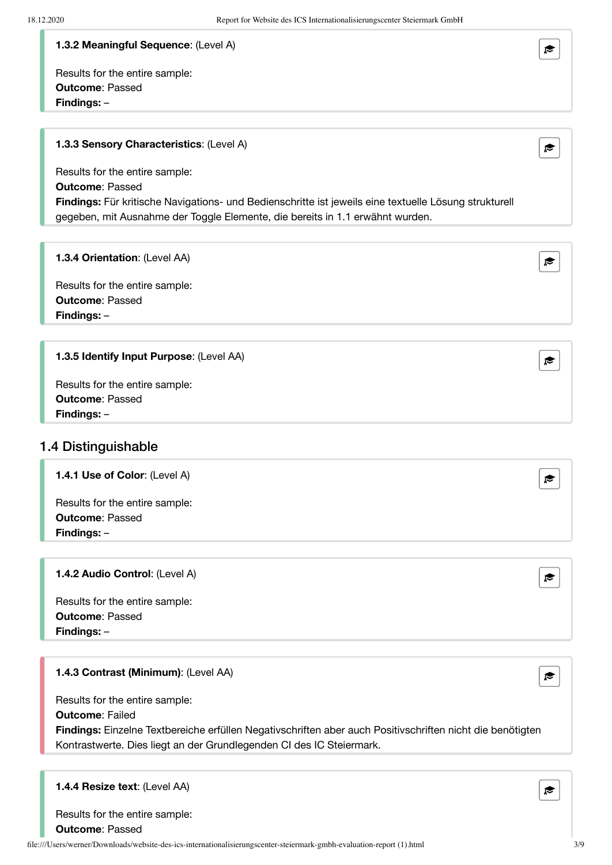#### **1.3.2 Meaningful Sequence**: (Level A)

Results for the entire sample: **Outcome**: Passed **Findings:** –

#### **1.3.3 Sensory Characteristics**: (Level A)

Results for the entire sample: **Outcome**: Passed **Findings:** Für kritische Navigations- und Bedienschritte ist jeweils eine textuelle Lösung strukturell gegeben, mit Ausnahme der Toggle Elemente, die bereits in 1.1 erwähnt wurden.

#### **1.3.4 Orientation**: (Level AA)

Results for the entire sample: **Outcome**: Passed **Findings:** –

#### **1.3.5 Identify Input Purpose**: (Level AA)

Results for the entire sample: **Outcome**: Passed **Findings:** –

#### 1.4 Distinguishable

**1.4.1 Use of Color**: (Level A)

Results for the entire sample: **Outcome**: Passed **Findings:** –

#### **1.4.2 Audio Control**: (Level A)

Results for the entire sample: **Outcome**: Passed **Findings:** –

#### **1.4.3 Contrast (Minimum)**: (Level AA)

Results for the entire sample: **Outcome**: Failed **Findings:** Einzelne Textbereiche erfüllen Negativschriften aber auch Positivschriften nicht die benötigten Kontrastwerte. Dies liegt an der Grundlegenden CI des IC Steiermark.

#### **1.4.4 Resize text**: (Level AA)

Results for the entire sample: **Outcome**: Passed









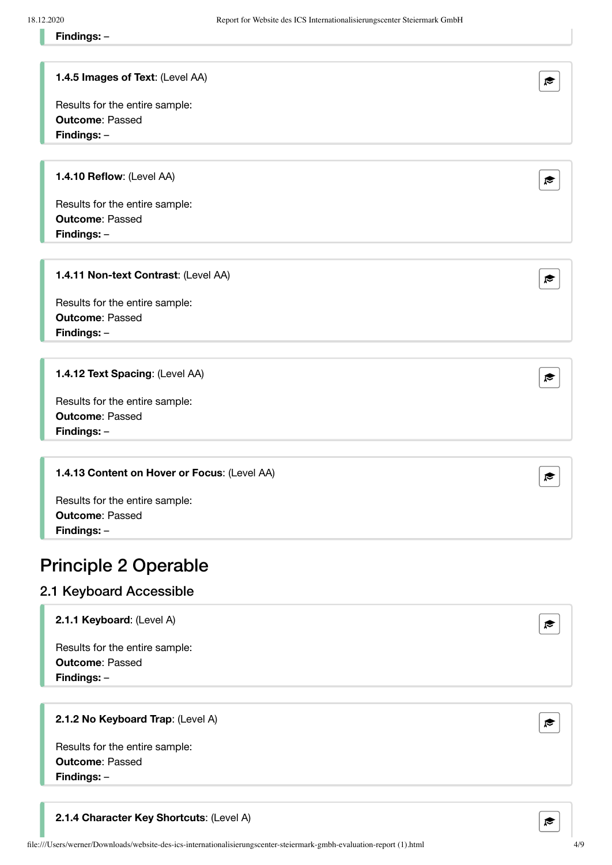#### **1.4.5 Images of Text**: (Level AA)

Results for the entire sample: **Outcome**: Passed **Findings:** –

**1.4.10 Reflow**: (Level AA)  $\bullet$  **P**  $\bullet$  **P**  $\bullet$  **P**  $\bullet$  **P**  $\bullet$  **P**  $\bullet$  **P**  $\bullet$  **P**  $\bullet$  **P**  $\bullet$  **P**  $\bullet$  **P**  $\bullet$  **P**  $\bullet$  **P**  $\bullet$  **P**  $\bullet$  **P**  $\bullet$  **P**  $\bullet$  **P**  $\bullet$  **P**  $\bullet$  **P**  $\bullet$  **P**  $\bullet$  **P**  $\bullet$  **P**  $\bullet$ 

Results for the entire sample: **Outcome**: Passed **Findings:** –

#### **1.4.11 Non-text Contrast**: (Level AA)

Results for the entire sample: **Outcome**: Passed **Findings:** –

**1.4.12 Text Spacing**: (Level AA)

Results for the entire sample: **Outcome**: Passed **Findings:** –

#### **1.4.13 Content on Hover or Focus**: (Level AA)

Results for the entire sample: **Outcome**: Passed **Findings:** –

### Principle 2 Operable

#### 2.1 Keyboard Accessible

**2.1.1 Keyboard**: (Level A) and  $\mathbb{R}$  and  $\mathbb{R}$  and  $\mathbb{R}$  and  $\mathbb{R}$  and  $\mathbb{R}$  and  $\mathbb{R}$  and  $\mathbb{R}$  and  $\mathbb{R}$  and  $\mathbb{R}$  and  $\mathbb{R}$  and  $\mathbb{R}$  and  $\mathbb{R}$  and  $\mathbb{R}$  and  $\mathbb{R}$  and  $\mathbb{R}$ 

Results for the entire sample: **Outcome**: Passed **Findings:** –

**2.1.2 No Keyboard Trap**: (Level A)







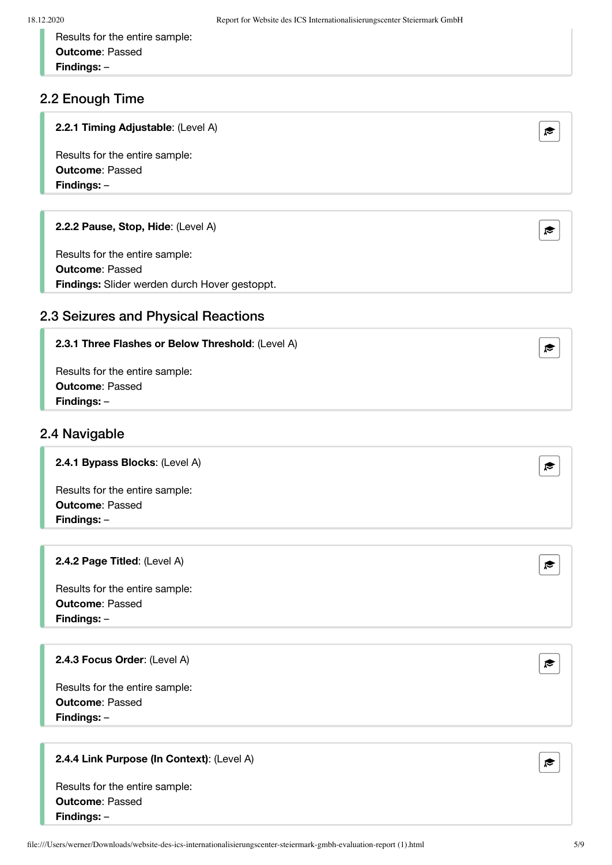Results for the entire sample: **Outcome**: Passed **Findings:** –

#### 2.2 Enough Time

| 2.2.1 Timing Adjustable: (Level A) |  |
|------------------------------------|--|
|------------------------------------|--|

Results for the entire sample: **Outcome**: Passed **Findings:** –

#### **2.2.2 Pause, Stop, Hide**: (Level A)

Results for the entire sample: **Outcome**: Passed **Findings:** Slider werden durch Hover gestoppt.

### 2.3 Seizures and Physical Reactions

#### **2.3.1 Three Flashes or Below Threshold**: (Level A)

Results for the entire sample: **Outcome**: Passed **Findings:** –

#### 2.4 Navigable

**2.4.1 Bypass Blocks**: (Level A)

Results for the entire sample: **Outcome**: Passed **Findings:** –

#### **2.4.2 Page Titled**: (Level A)

Results for the entire sample: **Outcome**: Passed **Findings:** –

#### **2.4.3 Focus Order**: (Level A)

Results for the entire sample: **Outcome**: Passed **Findings:** –

#### **2.4.4 Link Purpose (In Context)**: (Level A)













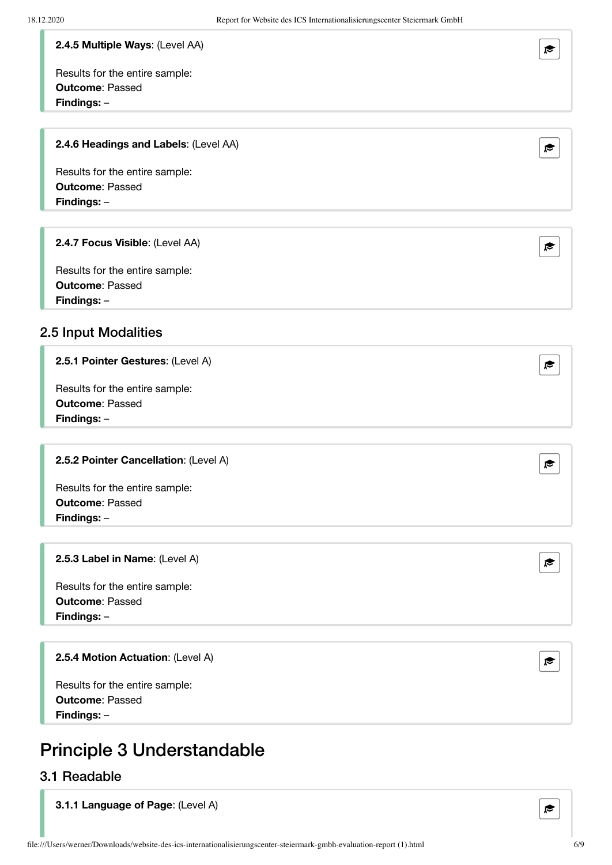#### **2.4.5 Multiple Ways**: (Level AA)

Results for the entire sample: **Outcome**: Passed **Findings:** –

#### **2.4.6 Headings and Labels**: (Level AA)

Results for the entire sample: **Outcome**: Passed **Findings:** –

#### **2.4.7 Focus Visible**: (Level AA)

Results for the entire sample: **Outcome**: Passed **Findings:** –

#### 2.5 Input Modalities

#### **2.5.1 Pointer Gestures**: (Level A)

Results for the entire sample: **Outcome**: Passed **Findings:** –

#### **2.5.2 Pointer Cancellation**: (Level A)

Results for the entire sample: **Outcome**: Passed **Findings:** –

#### **2.5.3 Label in Name**: (Level A)

Results for the entire sample: **Outcome**: Passed **Findings:** –

#### **2.5.4 Motion Actuation**: (Level A)

Results for the entire sample: **Outcome**: Passed **Findings:** –

### Principle 3 Understandable

#### 3.1 Readable

**3.1.1 Language of Page**: (Level A)











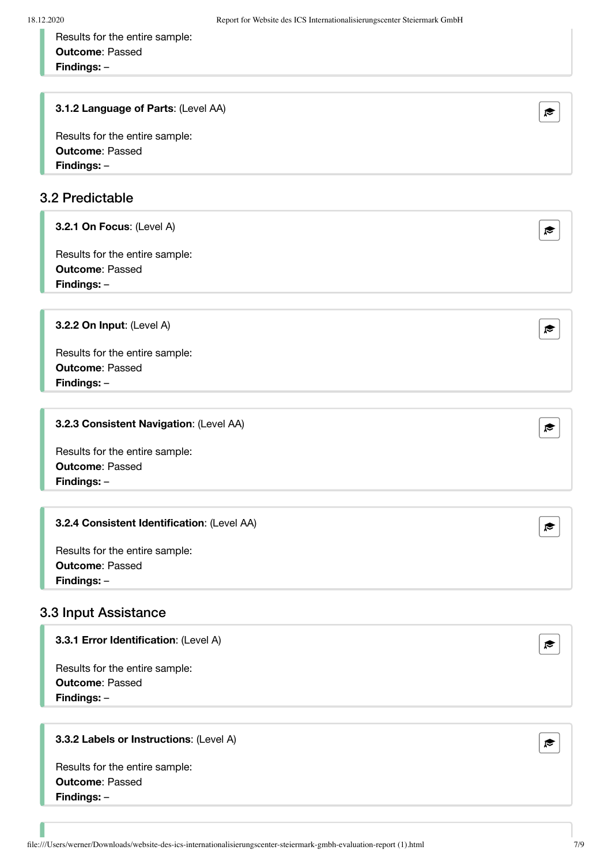Results for the entire sample: **Outcome**: Passed **Findings:** –

**3.1.2 Language of Parts**: (Level AA)

Results for the entire sample: **Outcome**: Passed **Findings:** –

#### 3.2 Predictable

**3.2.1 On Focus**: (Level A)

Results for the entire sample: **Outcome**: Passed **Findings:** –

**3.2.2 On Input**: (Level A)

Results for the entire sample: **Outcome**: Passed **Findings:** –

#### **3.2.3 Consistent Navigation**: (Level AA)

Results for the entire sample: **Outcome**: Passed **Findings:** –

#### **3.2.4 Consistent Identification**: (Level AA) **All and Solution Consistent Identification**: (Level AA)

Results for the entire sample: **Outcome**: Passed **Findings:** –

#### 3.3 Input Assistance

#### **3.3.1 Error Identification**: (Level A) **Exercise 2.3.1 Error Identification**: (Level A)

Results for the entire sample: **Outcome**: Passed **Findings:** –

#### **3.3.2 Labels or Instructions**: (Level A)





| ₹ |  |
|---|--|
|   |  |
|   |  |
|   |  |
|   |  |





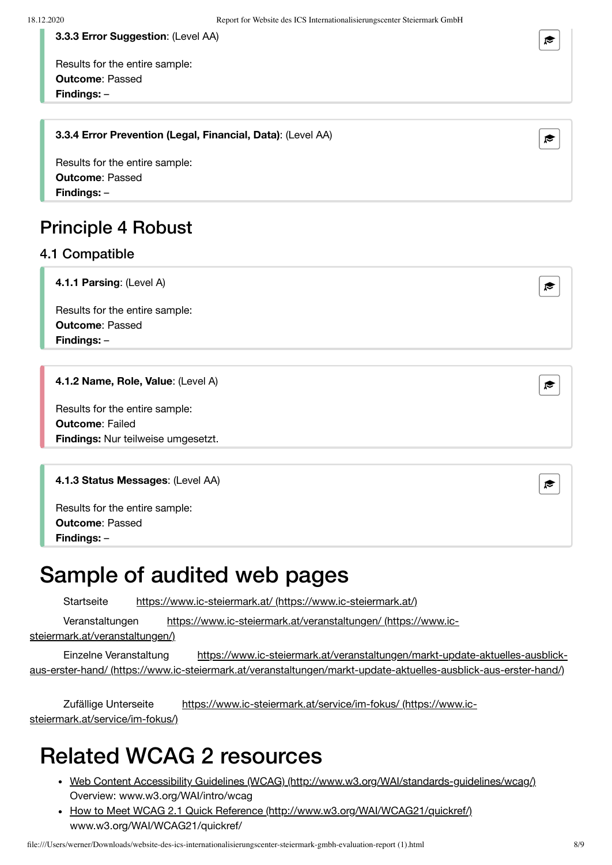**3.3.3 Error Suggestion**: (Level AA)

Results for the entire sample: **Outcome**: Passed **Findings:** –

### **3.3.4 Error Prevention (Legal, Financial, Data)**: (Level AA)

Results for the entire sample: **Outcome**: Passed **Findings:** –

### Principle 4 Robust

#### 4.1 Compatible

**4.1.1 Parsing**: (Level A)  $\epsilon$  and  $\epsilon$  and  $\epsilon$  and  $\epsilon$  and  $\epsilon$  and  $\epsilon$  and  $\epsilon$  and  $\epsilon$  and  $\epsilon$  and  $\epsilon$  and  $\epsilon$  and  $\epsilon$  and  $\epsilon$  and  $\epsilon$  and  $\epsilon$  and  $\epsilon$  and  $\epsilon$  and  $\epsilon$  and  $\epsilon$  and  $\epsilon$  and  $\epsilon$  and  $\epsilon$ 

Results for the entire sample: **Outcome**: Passed **Findings:** –

#### **4.1.2 Name, Role, Value**: (Level A)

Results for the entire sample: **Outcome**: Failed **Findings:** Nur teilweise umgesetzt.

#### **4.1.3 Status Messages**: (Level AA)

Results for the entire sample: **Outcome**: Passed **Findings:** –

## Sample of audited web pages

Startseite https://www.ic-steiermark.at/ [\(https://www.ic-steiermark.at/\)](https://www.ic-steiermark.at/)

Veranstaltungen <https://www.ic-steiermark.at/veranstaltungen/> (https://www.ic-

steiermark.at/veranstaltungen/)

Einzelne Veranstaltung https://www.ic-steiermark.at/veranstaltungen/markt-update-aktuelles-ausblickaus-erster-hand/ [\(https://www.ic-steiermark.at/veranstaltungen/markt-update-aktuelles-ausblick-aus-erster-hand/\)](https://www.ic-steiermark.at/veranstaltungen/markt-update-aktuelles-ausblick-aus-erster-hand/)

Zufällige Unterseite <https://www.ic-steiermark.at/service/im-fokus/> (https://www.icsteiermark.at/service/im-fokus/)

## Related WCAG 2 resources

- Web Content Accessibility Guidelines (WCAG) [\(http://www.w3.org/WAI/standards-guidelines/wcag/\)](http://www.w3.org/WAI/standards-guidelines/wcag/) Overview: www.w3.org/WAI/intro/wcag
- How to Meet WCAG 2.1 Quick Reference [\(http://www.w3.org/WAI/WCAG21/quickref/\)](http://www.w3.org/WAI/WCAG21/quickref/) www.w3.org/WAI/WCAG21/quickref/